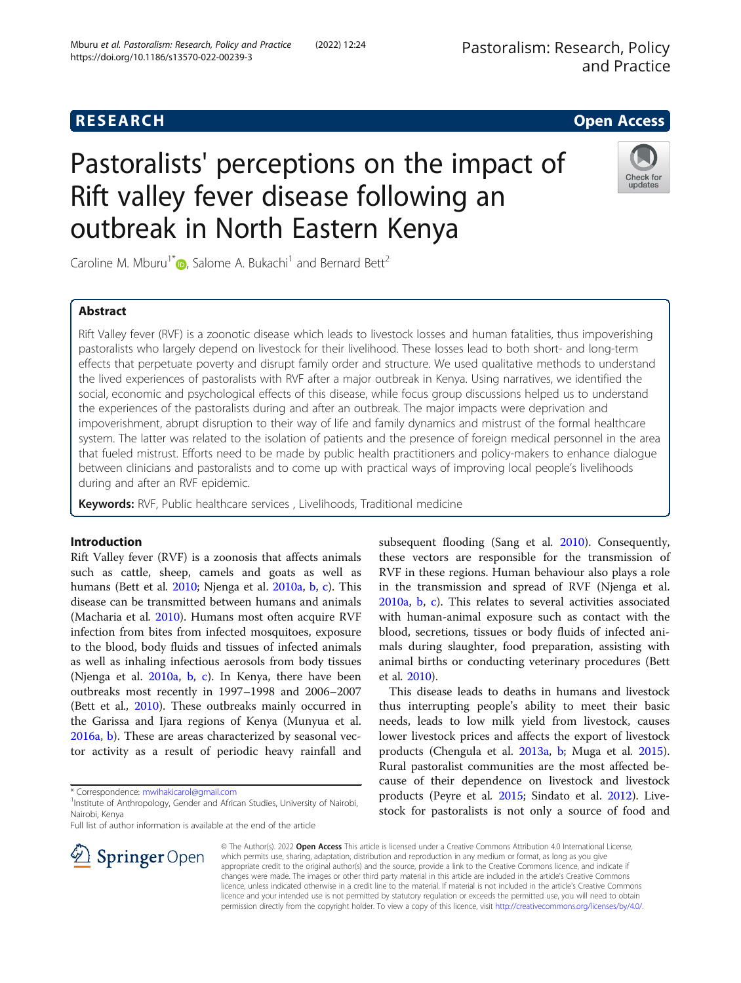# **RESEARCH CHE Open Access**

# Pastoralists' perceptions on the impact of Rift valley fever disease following an outbreak in North Eastern Kenya

Caroline M. Mburu<sup>1[\\*](http://orcid.org/0000-0002-8460-9213)</sup> , Salome A. Bukachi<sup>1</sup> and Bernard Bett<sup>2</sup>

# Abstract

Rift Valley fever (RVF) is a zoonotic disease which leads to livestock losses and human fatalities, thus impoverishing pastoralists who largely depend on livestock for their livelihood. These losses lead to both short- and long-term effects that perpetuate poverty and disrupt family order and structure. We used qualitative methods to understand the lived experiences of pastoralists with RVF after a major outbreak in Kenya. Using narratives, we identified the social, economic and psychological effects of this disease, while focus group discussions helped us to understand the experiences of the pastoralists during and after an outbreak. The major impacts were deprivation and impoverishment, abrupt disruption to their way of life and family dynamics and mistrust of the formal healthcare system. The latter was related to the isolation of patients and the presence of foreign medical personnel in the area that fueled mistrust. Efforts need to be made by public health practitioners and policy-makers to enhance dialogue between clinicians and pastoralists and to come up with practical ways of improving local people's livelihoods during and after an RVF epidemic.

Keywords: RVF, Public healthcare services, Livelihoods, Traditional medicine

# Introduction

Rift Valley fever (RVF) is a zoonosis that affects animals such as cattle, sheep, camels and goats as well as humans (Bett et al. [2010](#page-6-0); Njenga et al. [2010a](#page-7-0), [b,](#page-7-0) [c\)](#page-7-0). This disease can be transmitted between humans and animals (Macharia et al. [2010\)](#page-7-0). Humans most often acquire RVF infection from bites from infected mosquitoes, exposure to the blood, body fluids and tissues of infected animals as well as inhaling infectious aerosols from body tissues (Njenga et al. [2010a,](#page-7-0) [b,](#page-7-0) [c\)](#page-7-0). In Kenya, there have been outbreaks most recently in 1997–1998 and 2006–2007 (Bett et al., [2010\)](#page-6-0). These outbreaks mainly occurred in the Garissa and Ijara regions of Kenya (Munyua et al. [2016a,](#page-7-0) [b](#page-7-0)). These are areas characterized by seasonal vector activity as a result of periodic heavy rainfall and

\* Correspondence: [mwihakicarol@gmail.com](mailto:mwihakicarol@gmail.com) <sup>1</sup>

 $\mathscr{L}$  Springer Open

Full list of author information is available at the end of the article

subsequent flooding (Sang et al. [2010\)](#page-7-0). Consequently, these vectors are responsible for the transmission of RVF in these regions. Human behaviour also plays a role in the transmission and spread of RVF (Njenga et al. [2010a,](#page-7-0) [b](#page-7-0), [c\)](#page-7-0). This relates to several activities associated with human-animal exposure such as contact with the blood, secretions, tissues or body fluids of infected animals during slaughter, food preparation, assisting with animal births or conducting veterinary procedures (Bett et al. [2010\)](#page-6-0).

This disease leads to deaths in humans and livestock thus interrupting people's ability to meet their basic needs, leads to low milk yield from livestock, causes lower livestock prices and affects the export of livestock products (Chengula et al. [2013a](#page-6-0), [b](#page-6-0); Muga et al. [2015](#page-7-0)). Rural pastoralist communities are the most affected because of their dependence on livestock and livestock products (Peyre et al. [2015;](#page-7-0) Sindato et al. [2012](#page-7-0)). Livestock for pastoralists is not only a source of food and

© The Author(s). 2022 Open Access This article is licensed under a Creative Commons Attribution 4.0 International License, which permits use, sharing, adaptation, distribution and reproduction in any medium or format, as long as you give appropriate credit to the original author(s) and the source, provide a link to the Creative Commons licence, and indicate if changes were made. The images or other third party material in this article are included in the article's Creative Commons licence, unless indicated otherwise in a credit line to the material. If material is not included in the article's Creative Commons licence and your intended use is not permitted by statutory regulation or exceeds the permitted use, you will need to obtain permission directly from the copyright holder. To view a copy of this licence, visit <http://creativecommons.org/licenses/by/4.0/>.





<sup>&</sup>lt;sup>1</sup> Institute of Anthropology, Gender and African Studies, University of Nairobi, Nairobi, Kenya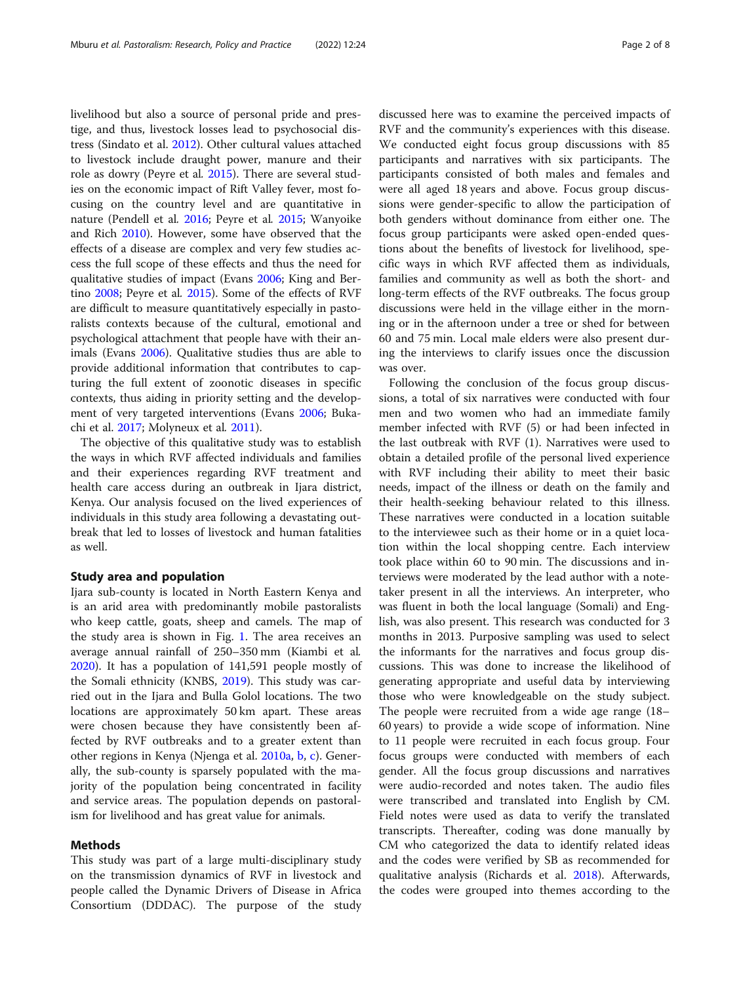livelihood but also a source of personal pride and prestige, and thus, livestock losses lead to psychosocial distress (Sindato et al. [2012](#page-7-0)). Other cultural values attached to livestock include draught power, manure and their role as dowry (Peyre et al. [2015\)](#page-7-0). There are several studies on the economic impact of Rift Valley fever, most focusing on the country level and are quantitative in nature (Pendell et al. [2016;](#page-7-0) Peyre et al. [2015;](#page-7-0) Wanyoike and Rich [2010\)](#page-7-0). However, some have observed that the effects of a disease are complex and very few studies access the full scope of these effects and thus the need for qualitative studies of impact (Evans [2006](#page-6-0); King and Bertino [2008;](#page-7-0) Peyre et al. [2015](#page-7-0)). Some of the effects of RVF are difficult to measure quantitatively especially in pastoralists contexts because of the cultural, emotional and psychological attachment that people have with their animals (Evans [2006\)](#page-6-0). Qualitative studies thus are able to provide additional information that contributes to capturing the full extent of zoonotic diseases in specific contexts, thus aiding in priority setting and the development of very targeted interventions (Evans [2006](#page-6-0); Bukachi et al. [2017](#page-6-0); Molyneux et al. [2011](#page-7-0)).

The objective of this qualitative study was to establish the ways in which RVF affected individuals and families and their experiences regarding RVF treatment and health care access during an outbreak in Ijara district, Kenya. Our analysis focused on the lived experiences of individuals in this study area following a devastating outbreak that led to losses of livestock and human fatalities as well.

# Study area and population

Ijara sub-county is located in North Eastern Kenya and is an arid area with predominantly mobile pastoralists who keep cattle, goats, sheep and camels. The map of the study area is shown in Fig. [1](#page-2-0). The area receives an average annual rainfall of 250–350 mm (Kiambi et al. [2020](#page-7-0)). It has a population of 141,591 people mostly of the Somali ethnicity (KNBS, [2019](#page-7-0)). This study was carried out in the Ijara and Bulla Golol locations. The two locations are approximately 50 km apart. These areas were chosen because they have consistently been affected by RVF outbreaks and to a greater extent than other regions in Kenya (Njenga et al. [2010a](#page-7-0), [b](#page-7-0), [c\)](#page-7-0). Generally, the sub-county is sparsely populated with the majority of the population being concentrated in facility and service areas. The population depends on pastoralism for livelihood and has great value for animals.

# Methods

This study was part of a large multi-disciplinary study on the transmission dynamics of RVF in livestock and people called the Dynamic Drivers of Disease in Africa Consortium (DDDAC). The purpose of the study

discussed here was to examine the perceived impacts of RVF and the community's experiences with this disease. We conducted eight focus group discussions with 85 participants and narratives with six participants. The participants consisted of both males and females and were all aged 18 years and above. Focus group discussions were gender-specific to allow the participation of both genders without dominance from either one. The focus group participants were asked open-ended questions about the benefits of livestock for livelihood, specific ways in which RVF affected them as individuals, families and community as well as both the short- and long-term effects of the RVF outbreaks. The focus group discussions were held in the village either in the morning or in the afternoon under a tree or shed for between 60 and 75 min. Local male elders were also present during the interviews to clarify issues once the discussion was over.

Following the conclusion of the focus group discussions, a total of six narratives were conducted with four men and two women who had an immediate family member infected with RVF (5) or had been infected in the last outbreak with RVF (1). Narratives were used to obtain a detailed profile of the personal lived experience with RVF including their ability to meet their basic needs, impact of the illness or death on the family and their health-seeking behaviour related to this illness. These narratives were conducted in a location suitable to the interviewee such as their home or in a quiet location within the local shopping centre. Each interview took place within 60 to 90 min. The discussions and interviews were moderated by the lead author with a notetaker present in all the interviews. An interpreter, who was fluent in both the local language (Somali) and English, was also present. This research was conducted for 3 months in 2013. Purposive sampling was used to select the informants for the narratives and focus group discussions. This was done to increase the likelihood of generating appropriate and useful data by interviewing those who were knowledgeable on the study subject. The people were recruited from a wide age range (18– 60 years) to provide a wide scope of information. Nine to 11 people were recruited in each focus group. Four focus groups were conducted with members of each gender. All the focus group discussions and narratives were audio-recorded and notes taken. The audio files were transcribed and translated into English by CM. Field notes were used as data to verify the translated transcripts. Thereafter, coding was done manually by CM who categorized the data to identify related ideas and the codes were verified by SB as recommended for qualitative analysis (Richards et al. [2018\)](#page-7-0). Afterwards, the codes were grouped into themes according to the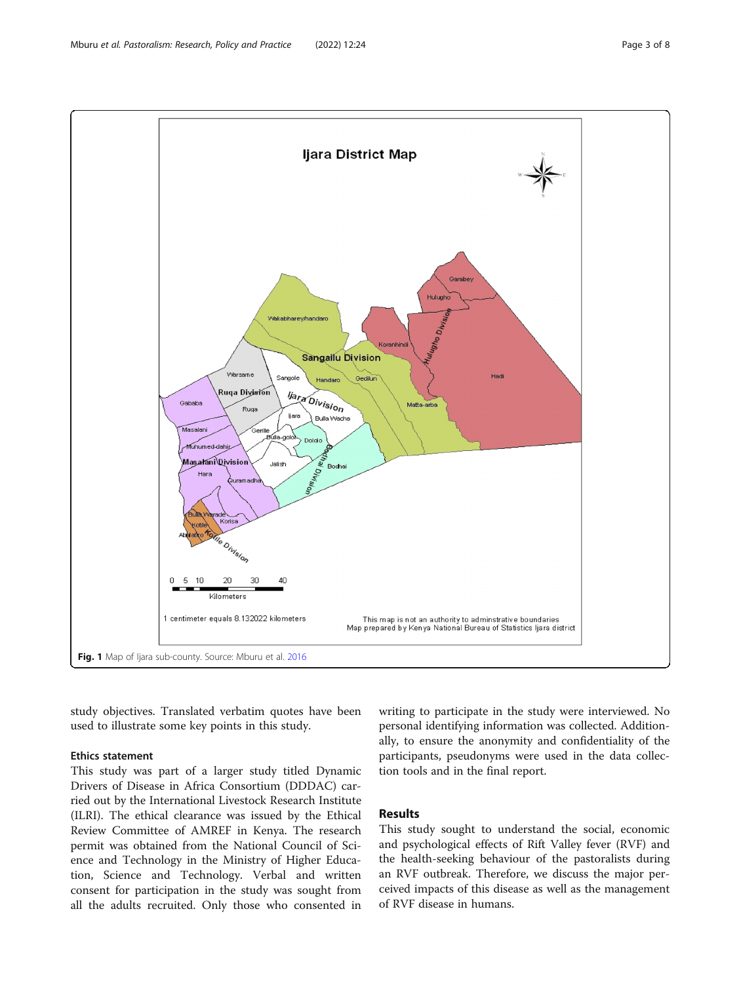<span id="page-2-0"></span>

study objectives. Translated verbatim quotes have been used to illustrate some key points in this study.

### Ethics statement

This study was part of a larger study titled Dynamic Drivers of Disease in Africa Consortium (DDDAC) carried out by the International Livestock Research Institute (ILRI). The ethical clearance was issued by the Ethical Review Committee of AMREF in Kenya. The research permit was obtained from the National Council of Science and Technology in the Ministry of Higher Education, Science and Technology. Verbal and written consent for participation in the study was sought from all the adults recruited. Only those who consented in writing to participate in the study were interviewed. No personal identifying information was collected. Additionally, to ensure the anonymity and confidentiality of the participants, pseudonyms were used in the data collection tools and in the final report.

# Results

This study sought to understand the social, economic and psychological effects of Rift Valley fever (RVF) and the health-seeking behaviour of the pastoralists during an RVF outbreak. Therefore, we discuss the major perceived impacts of this disease as well as the management of RVF disease in humans.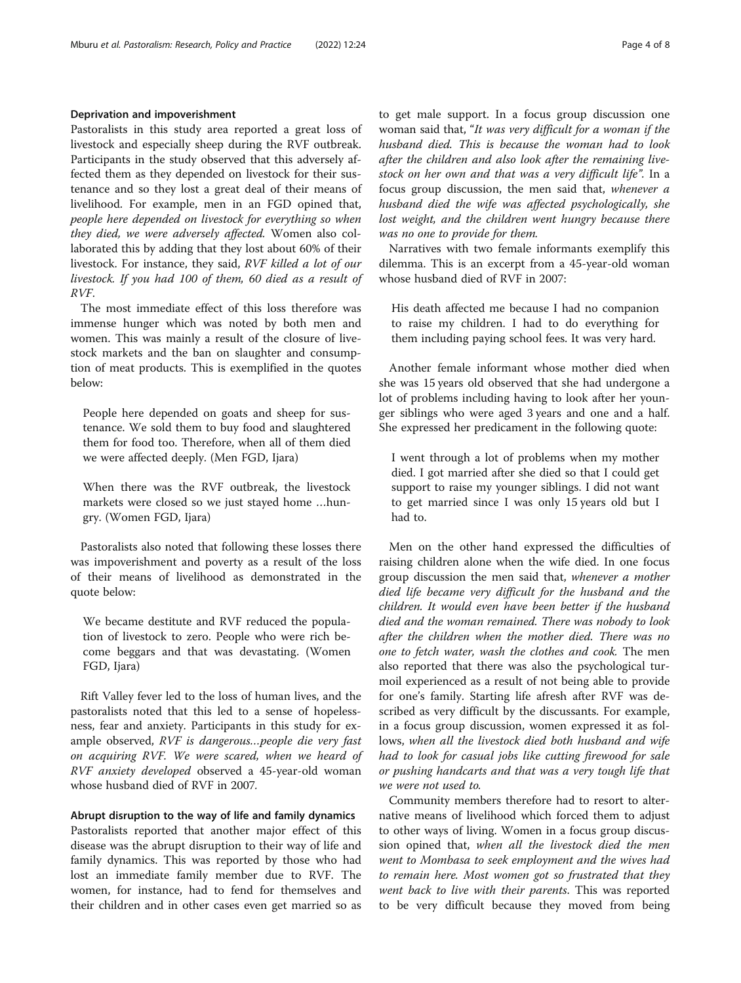# Deprivation and impoverishment

Pastoralists in this study area reported a great loss of livestock and especially sheep during the RVF outbreak. Participants in the study observed that this adversely affected them as they depended on livestock for their sustenance and so they lost a great deal of their means of livelihood. For example, men in an FGD opined that, people here depended on livestock for everything so when they died, we were adversely affected. Women also collaborated this by adding that they lost about 60% of their livestock. For instance, they said, RVF killed a lot of our livestock. If you had 100 of them, 60 died as a result of RVF.

The most immediate effect of this loss therefore was immense hunger which was noted by both men and women. This was mainly a result of the closure of livestock markets and the ban on slaughter and consumption of meat products. This is exemplified in the quotes below:

People here depended on goats and sheep for sustenance. We sold them to buy food and slaughtered them for food too. Therefore, when all of them died we were affected deeply. (Men FGD, Ijara)

When there was the RVF outbreak, the livestock markets were closed so we just stayed home …hungry. (Women FGD, Ijara)

Pastoralists also noted that following these losses there was impoverishment and poverty as a result of the loss of their means of livelihood as demonstrated in the quote below:

We became destitute and RVF reduced the population of livestock to zero. People who were rich become beggars and that was devastating. (Women FGD, Ijara)

Rift Valley fever led to the loss of human lives, and the pastoralists noted that this led to a sense of hopelessness, fear and anxiety. Participants in this study for example observed, RVF is dangerous…people die very fast on acquiring RVF. We were scared, when we heard of RVF anxiety developed observed a 45-year-old woman whose husband died of RVF in 2007.

Abrupt disruption to the way of life and family dynamics

Pastoralists reported that another major effect of this disease was the abrupt disruption to their way of life and family dynamics. This was reported by those who had lost an immediate family member due to RVF. The women, for instance, had to fend for themselves and their children and in other cases even get married so as to get male support. In a focus group discussion one woman said that, "It was very difficult for a woman if the husband died. This is because the woman had to look after the children and also look after the remaining livestock on her own and that was a very difficult life". In a focus group discussion, the men said that, whenever a husband died the wife was affected psychologically, she lost weight, and the children went hungry because there was no one to provide for them.

Narratives with two female informants exemplify this dilemma. This is an excerpt from a 45-year-old woman whose husband died of RVF in 2007:

His death affected me because I had no companion to raise my children. I had to do everything for them including paying school fees. It was very hard.

Another female informant whose mother died when she was 15 years old observed that she had undergone a lot of problems including having to look after her younger siblings who were aged 3 years and one and a half. She expressed her predicament in the following quote:

I went through a lot of problems when my mother died. I got married after she died so that I could get support to raise my younger siblings. I did not want to get married since I was only 15 years old but I had to.

Men on the other hand expressed the difficulties of raising children alone when the wife died. In one focus group discussion the men said that, whenever a mother died life became very difficult for the husband and the children. It would even have been better if the husband died and the woman remained. There was nobody to look after the children when the mother died. There was no one to fetch water, wash the clothes and cook. The men also reported that there was also the psychological turmoil experienced as a result of not being able to provide for one's family. Starting life afresh after RVF was described as very difficult by the discussants. For example, in a focus group discussion, women expressed it as follows, when all the livestock died both husband and wife had to look for casual jobs like cutting firewood for sale or pushing handcarts and that was a very tough life that we were not used to.

Community members therefore had to resort to alternative means of livelihood which forced them to adjust to other ways of living. Women in a focus group discussion opined that, when all the livestock died the men went to Mombasa to seek employment and the wives had to remain here. Most women got so frustrated that they went back to live with their parents. This was reported to be very difficult because they moved from being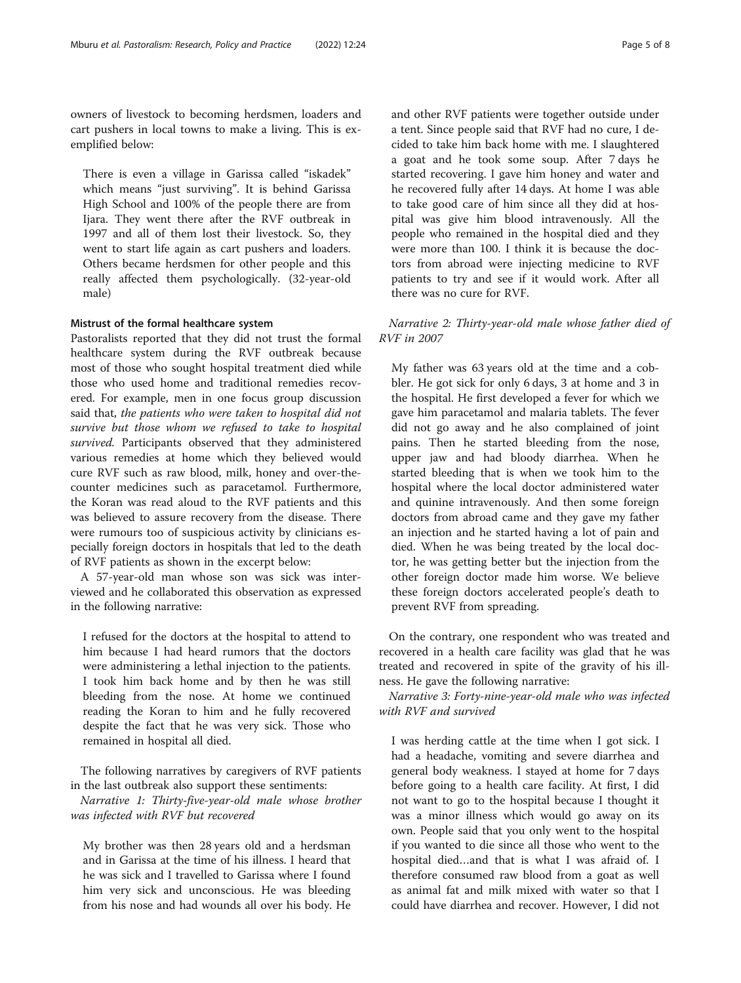owners of livestock to becoming herdsmen, loaders and cart pushers in local towns to make a living. This is exemplified below:

There is even a village in Garissa called "iskadek" which means "just surviving". It is behind Garissa High School and 100% of the people there are from Ijara. They went there after the RVF outbreak in 1997 and all of them lost their livestock. So, they went to start life again as cart pushers and loaders. Others became herdsmen for other people and this really affected them psychologically. (32-year-old male)

#### Mistrust of the formal healthcare system

Pastoralists reported that they did not trust the formal healthcare system during the RVF outbreak because most of those who sought hospital treatment died while those who used home and traditional remedies recovered. For example, men in one focus group discussion said that, the patients who were taken to hospital did not survive but those whom we refused to take to hospital survived. Participants observed that they administered various remedies at home which they believed would cure RVF such as raw blood, milk, honey and over-thecounter medicines such as paracetamol. Furthermore, the Koran was read aloud to the RVF patients and this was believed to assure recovery from the disease. There were rumours too of suspicious activity by clinicians especially foreign doctors in hospitals that led to the death of RVF patients as shown in the excerpt below:

A 57-year-old man whose son was sick was interviewed and he collaborated this observation as expressed in the following narrative:

I refused for the doctors at the hospital to attend to him because I had heard rumors that the doctors were administering a lethal injection to the patients. I took him back home and by then he was still bleeding from the nose. At home we continued reading the Koran to him and he fully recovered despite the fact that he was very sick. Those who remained in hospital all died.

The following narratives by caregivers of RVF patients in the last outbreak also support these sentiments:

Narrative 1: Thirty-five-year-old male whose brother was infected with RVF but recovered

My brother was then 28 years old and a herdsman and in Garissa at the time of his illness. I heard that he was sick and I travelled to Garissa where I found him very sick and unconscious. He was bleeding from his nose and had wounds all over his body. He and other RVF patients were together outside under a tent. Since people said that RVF had no cure, I decided to take him back home with me. I slaughtered a goat and he took some soup. After 7 days he started recovering. I gave him honey and water and he recovered fully after 14 days. At home I was able to take good care of him since all they did at hospital was give him blood intravenously. All the people who remained in the hospital died and they were more than 100. I think it is because the doctors from abroad were injecting medicine to RVF patients to try and see if it would work. After all there was no cure for RVF.

# Narrative 2: Thirty-year-old male whose father died of RVF in 2007

My father was 63 years old at the time and a cobbler. He got sick for only 6 days, 3 at home and 3 in the hospital. He first developed a fever for which we gave him paracetamol and malaria tablets. The fever did not go away and he also complained of joint pains. Then he started bleeding from the nose, upper jaw and had bloody diarrhea. When he started bleeding that is when we took him to the hospital where the local doctor administered water and quinine intravenously. And then some foreign doctors from abroad came and they gave my father an injection and he started having a lot of pain and died. When he was being treated by the local doctor, he was getting better but the injection from the other foreign doctor made him worse. We believe these foreign doctors accelerated people's death to prevent RVF from spreading.

On the contrary, one respondent who was treated and recovered in a health care facility was glad that he was treated and recovered in spite of the gravity of his illness. He gave the following narrative:

Narrative 3: Forty-nine-year-old male who was infected with RVF and survived

I was herding cattle at the time when I got sick. I had a headache, vomiting and severe diarrhea and general body weakness. I stayed at home for 7 days before going to a health care facility. At first, I did not want to go to the hospital because I thought it was a minor illness which would go away on its own. People said that you only went to the hospital if you wanted to die since all those who went to the hospital died…and that is what I was afraid of. I therefore consumed raw blood from a goat as well as animal fat and milk mixed with water so that I could have diarrhea and recover. However, I did not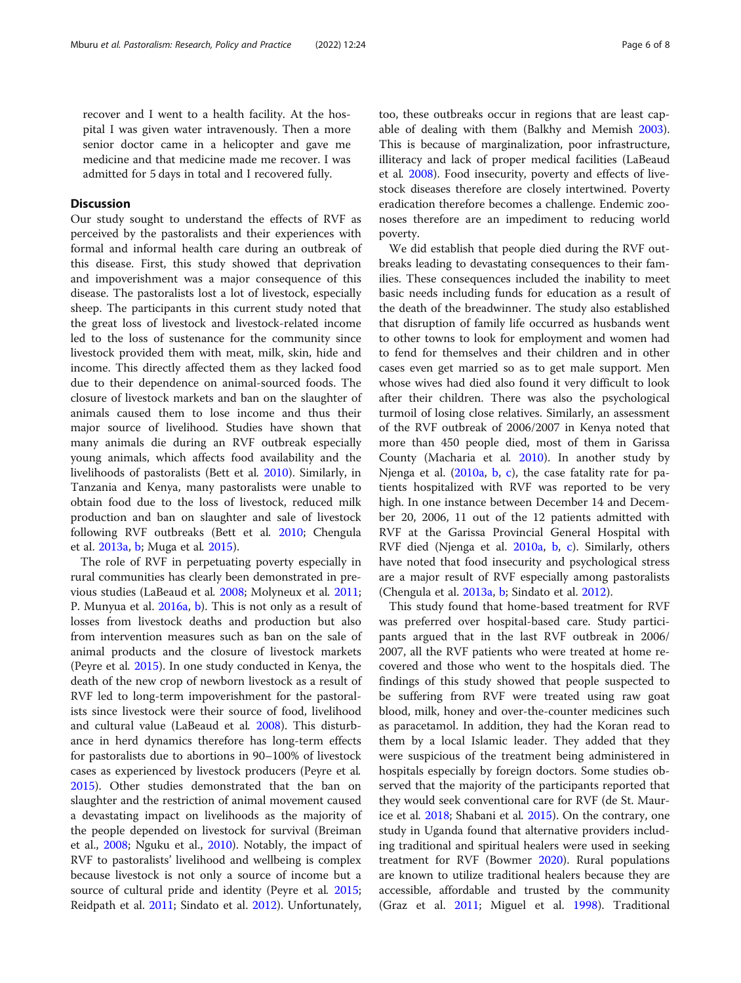recover and I went to a health facility. At the hospital I was given water intravenously. Then a more senior doctor came in a helicopter and gave me medicine and that medicine made me recover. I was admitted for 5 days in total and I recovered fully.

# **Discussion**

Our study sought to understand the effects of RVF as perceived by the pastoralists and their experiences with formal and informal health care during an outbreak of this disease. First, this study showed that deprivation and impoverishment was a major consequence of this disease. The pastoralists lost a lot of livestock, especially sheep. The participants in this current study noted that the great loss of livestock and livestock-related income led to the loss of sustenance for the community since livestock provided them with meat, milk, skin, hide and income. This directly affected them as they lacked food due to their dependence on animal-sourced foods. The closure of livestock markets and ban on the slaughter of animals caused them to lose income and thus their major source of livelihood. Studies have shown that many animals die during an RVF outbreak especially young animals, which affects food availability and the livelihoods of pastoralists (Bett et al. [2010\)](#page-6-0). Similarly, in Tanzania and Kenya, many pastoralists were unable to obtain food due to the loss of livestock, reduced milk production and ban on slaughter and sale of livestock following RVF outbreaks (Bett et al. [2010;](#page-6-0) Chengula et al. [2013a](#page-6-0), [b](#page-6-0); Muga et al. [2015](#page-7-0)).

The role of RVF in perpetuating poverty especially in rural communities has clearly been demonstrated in previous studies (LaBeaud et al. [2008](#page-7-0); Molyneux et al. [2011](#page-7-0); P. Munyua et al. [2016a](#page-7-0), [b\)](#page-7-0). This is not only as a result of losses from livestock deaths and production but also from intervention measures such as ban on the sale of animal products and the closure of livestock markets (Peyre et al. [2015\)](#page-7-0). In one study conducted in Kenya, the death of the new crop of newborn livestock as a result of RVF led to long-term impoverishment for the pastoralists since livestock were their source of food, livelihood and cultural value (LaBeaud et al. [2008\)](#page-7-0). This disturbance in herd dynamics therefore has long-term effects for pastoralists due to abortions in 90–100% of livestock cases as experienced by livestock producers (Peyre et al. [2015](#page-7-0)). Other studies demonstrated that the ban on slaughter and the restriction of animal movement caused a devastating impact on livelihoods as the majority of the people depended on livestock for survival (Breiman et al., [2008;](#page-6-0) Nguku et al., [2010\)](#page-7-0). Notably, the impact of RVF to pastoralists' livelihood and wellbeing is complex because livestock is not only a source of income but a source of cultural pride and identity (Peyre et al. [2015](#page-7-0); Reidpath et al. [2011;](#page-7-0) Sindato et al. [2012\)](#page-7-0). Unfortunately, too, these outbreaks occur in regions that are least capable of dealing with them (Balkhy and Memish [2003](#page-6-0)). This is because of marginalization, poor infrastructure, illiteracy and lack of proper medical facilities (LaBeaud et al. [2008](#page-7-0)). Food insecurity, poverty and effects of livestock diseases therefore are closely intertwined. Poverty eradication therefore becomes a challenge. Endemic zoonoses therefore are an impediment to reducing world poverty.

We did establish that people died during the RVF outbreaks leading to devastating consequences to their families. These consequences included the inability to meet basic needs including funds for education as a result of the death of the breadwinner. The study also established that disruption of family life occurred as husbands went to other towns to look for employment and women had to fend for themselves and their children and in other cases even get married so as to get male support. Men whose wives had died also found it very difficult to look after their children. There was also the psychological turmoil of losing close relatives. Similarly, an assessment of the RVF outbreak of 2006/2007 in Kenya noted that more than 450 people died, most of them in Garissa County (Macharia et al. [2010](#page-7-0)). In another study by Njenga et al. [\(2010a](#page-7-0), [b,](#page-7-0) [c](#page-7-0)), the case fatality rate for patients hospitalized with RVF was reported to be very high. In one instance between December 14 and December 20, 2006, 11 out of the 12 patients admitted with RVF at the Garissa Provincial General Hospital with RVF died (Njenga et al. [2010a,](#page-7-0) [b,](#page-7-0) [c](#page-7-0)). Similarly, others have noted that food insecurity and psychological stress are a major result of RVF especially among pastoralists (Chengula et al. [2013a](#page-6-0), [b](#page-6-0); Sindato et al. [2012](#page-7-0)).

This study found that home-based treatment for RVF was preferred over hospital-based care. Study participants argued that in the last RVF outbreak in 2006/ 2007, all the RVF patients who were treated at home recovered and those who went to the hospitals died. The findings of this study showed that people suspected to be suffering from RVF were treated using raw goat blood, milk, honey and over-the-counter medicines such as paracetamol. In addition, they had the Koran read to them by a local Islamic leader. They added that they were suspicious of the treatment being administered in hospitals especially by foreign doctors. Some studies observed that the majority of the participants reported that they would seek conventional care for RVF (de St. Maurice et al. [2018](#page-6-0); Shabani et al. [2015\)](#page-7-0). On the contrary, one study in Uganda found that alternative providers including traditional and spiritual healers were used in seeking treatment for RVF (Bowmer [2020\)](#page-6-0). Rural populations are known to utilize traditional healers because they are accessible, affordable and trusted by the community (Graz et al. [2011](#page-6-0); Miguel et al. [1998\)](#page-7-0). Traditional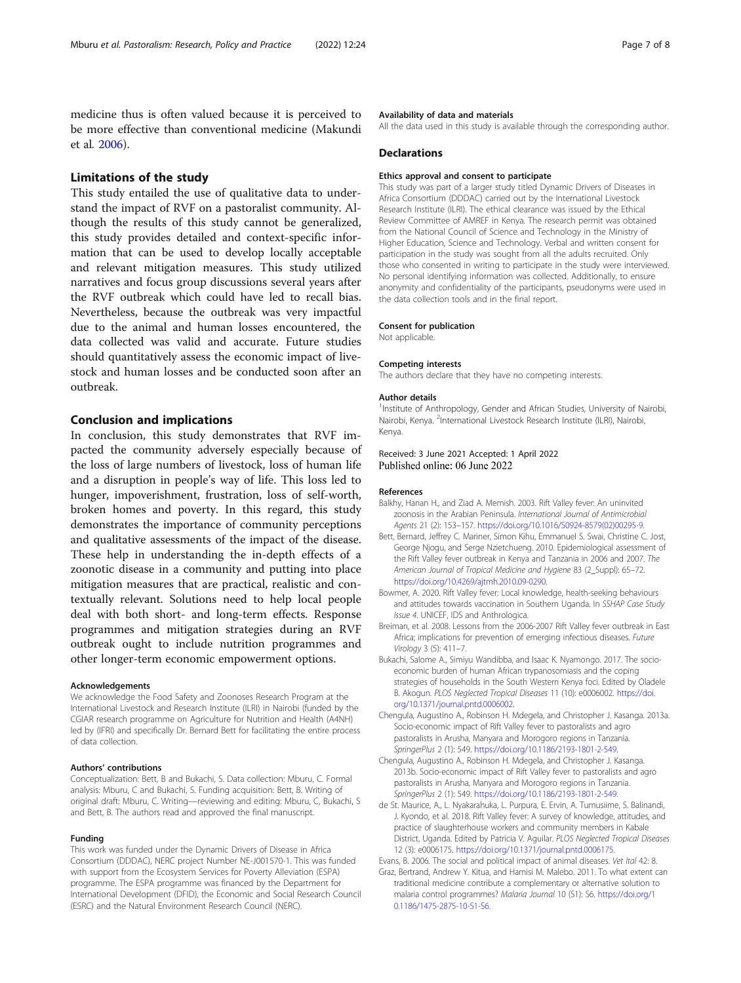<span id="page-6-0"></span>medicine thus is often valued because it is perceived to be more effective than conventional medicine (Makundi et al. [2006\)](#page-7-0).

## Limitations of the study

This study entailed the use of qualitative data to understand the impact of RVF on a pastoralist community. Although the results of this study cannot be generalized, this study provides detailed and context-specific information that can be used to develop locally acceptable and relevant mitigation measures. This study utilized narratives and focus group discussions several years after the RVF outbreak which could have led to recall bias. Nevertheless, because the outbreak was very impactful due to the animal and human losses encountered, the data collected was valid and accurate. Future studies should quantitatively assess the economic impact of livestock and human losses and be conducted soon after an outbreak.

# Conclusion and implications

In conclusion, this study demonstrates that RVF impacted the community adversely especially because of the loss of large numbers of livestock, loss of human life and a disruption in people's way of life. This loss led to hunger, impoverishment, frustration, loss of self-worth, broken homes and poverty. In this regard, this study demonstrates the importance of community perceptions and qualitative assessments of the impact of the disease. These help in understanding the in-depth effects of a zoonotic disease in a community and putting into place mitigation measures that are practical, realistic and contextually relevant. Solutions need to help local people deal with both short- and long-term effects. Response programmes and mitigation strategies during an RVF outbreak ought to include nutrition programmes and other longer-term economic empowerment options.

#### Acknowledgements

We acknowledge the Food Safety and Zoonoses Research Program at the International Livestock and Research Institute (ILRI) in Nairobi (funded by the CGIAR research programme on Agriculture for Nutrition and Health (A4NH) led by (IFRI) and specifically Dr. Bernard Bett for facilitating the entire process of data collection.

#### Authors' contributions

Conceptualization: Bett, B and Bukachi, S. Data collection: Mburu, C. Formal analysis: Mburu, C and Bukachi, S. Funding acquisition: Bett, B. Writing of original draft: Mburu, C. Writing—reviewing and editing: Mburu, C, Bukachi, S and Bett, B. The authors read and approved the final manuscript.

#### Funding

This work was funded under the Dynamic Drivers of Disease in Africa Consortium (DDDAC), NERC project Number NE-J001570-1. This was funded with support from the Ecosystem Services for Poverty Alleviation (ESPA) programme. The ESPA programme was financed by the Department for International Development (DFID), the Economic and Social Research Council (ESRC) and the Natural Environment Research Council (NERC).

#### Availability of data and materials

All the data used in this study is available through the corresponding author.

#### **Declarations**

#### Ethics approval and consent to participate

This study was part of a larger study titled Dynamic Drivers of Diseases in Africa Consortium (DDDAC) carried out by the International Livestock Research Institute (ILRI). The ethical clearance was issued by the Ethical Review Committee of AMREF in Kenya. The research permit was obtained from the National Council of Science and Technology in the Ministry of Higher Education, Science and Technology. Verbal and written consent for participation in the study was sought from all the adults recruited. Only those who consented in writing to participate in the study were interviewed. No personal identifying information was collected. Additionally, to ensure anonymity and confidentiality of the participants, pseudonyms were used in the data collection tools and in the final report.

#### Consent for publication

Not applicable.

#### Competing interests

The authors declare that they have no competing interests.

#### Author details

<sup>1</sup>Institute of Anthropology, Gender and African Studies, University of Nairobi, Nairobi, Kenya. <sup>2</sup>International Livestock Research Institute (ILRI), Nairobi, Kenya.

#### Received: 3 June 2021 Accepted: 1 April 2022 Published online: 06 June 2022

#### References

- Balkhy, Hanan H., and Ziad A. Memish. 2003. Rift Valley fever: An uninvited zoonosis in the Arabian Peninsula. International Journal of Antimicrobial Agents 21 (2): 153–157. [https://doi.org/10.1016/S0924-8579\(02\)00295-9](https://doi.org/10.1016/S0924-8579(02)00295-9).
- Bett, Bernard, Jeffrey C. Mariner, Simon Kihu, Emmanuel S. Swai, Christine C. Jost, George Njogu, and Serge Nzietchueng. 2010. Epidemiological assessment of the Rift Valley fever outbreak in Kenya and Tanzania in 2006 and 2007. The American Journal of Tropical Medicine and Hygiene 83 (2\_Suppl): 65–72. [https://doi.org/10.4269/ajtmh.2010.09-0290.](https://doi.org/10.4269/ajtmh.2010.09-0290)
- Bowmer, A. 2020. Rift Valley fever: Local knowledge, health-seeking behaviours and attitudes towards vaccination in Southern Uganda. In SSHAP Case Study Issue 4. UNICEF, IDS and Anthrologica.
- Breiman, et al. 2008. Lessons from the 2006-2007 Rift Valley fever outbreak in East Africa; implications for prevention of emerging infectious diseases. Future Virology 3 (5): 411–7.
- Bukachi, Salome A., Simiyu Wandibba, and Isaac K. Nyamongo. 2017. The socioeconomic burden of human African trypanosomiasis and the coping strategies of households in the South Western Kenya foci. Edited by Oladele B. Akogun. PLOS Neglected Tropical Diseases 11 (10): e0006002. [https://doi.](https://doi.org/10.1371/journal.pntd.0006002) [org/10.1371/journal.pntd.0006002](https://doi.org/10.1371/journal.pntd.0006002).

Chengula, Augustino A., Robinson H. Mdegela, and Christopher J. Kasanga. 2013a. Socio-economic impact of Rift Valley fever to pastoralists and agro pastoralists in Arusha, Manyara and Morogoro regions in Tanzania. SpringerPlus 2 (1): 549. [https://doi.org/10.1186/2193-1801-2-549.](https://doi.org/10.1186/2193-1801-2-549)

- Chengula, Augustino A., Robinson H. Mdegela, and Christopher J. Kasanga. 2013b. Socio-economic impact of Rift Valley fever to pastoralists and agro pastoralists in Arusha, Manyara and Morogoro regions in Tanzania. SpringerPlus 2 (1): 549. [https://doi.org/10.1186/2193-1801-2-549.](https://doi.org/10.1186/2193-1801-2-549)
- de St. Maurice, A., L. Nyakarahuka, L. Purpura, E. Ervin, A. Tumusiime, S. Balinandi, J. Kyondo, et al. 2018. Rift Valley fever: A survey of knowledge, attitudes, and practice of slaughterhouse workers and community members in Kabale District, Uganda. Edited by Patricia V. Aguilar. PLOS Neglected Tropical Diseases 12 (3): e0006175. <https://doi.org/10.1371/journal.pntd.0006175>.
- Evans, B. 2006. The social and political impact of animal diseases. Vet Ital 42: 8. Graz, Bertrand, Andrew Y. Kitua, and Hamisi M. Malebo. 2011. To what extent can traditional medicine contribute a complementary or alternative solution to malaria control programmes? Malaria Journal 10 (S1): S6. [https://doi.org/1](https://doi.org/10.1186/1475-2875-10-S1-S6) [0.1186/1475-2875-10-S1-S6](https://doi.org/10.1186/1475-2875-10-S1-S6).